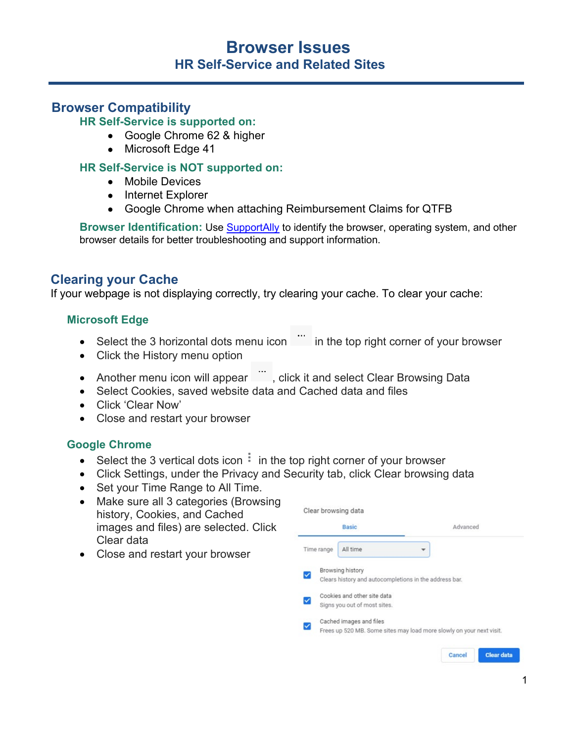# **Browser Issues HR Self-Service and Related Sites**

## **Browser Compatibility**

**HR Self-Service is supported on:** 

- Google Chrome 62 & higher
- Microsoft Edge 41

#### **HR Self-Service is NOT supported on:**

- Mobile Devices
- Internet Explorer
- Google Chrome when attaching Reimbursement Claims for QTFB

**Browser Identification:** Use [SupportAlly](https://supportally.com/) to identify the browser, operating system, and other browser details for better troubleshooting and support information.

### **Clearing your Cache**

If your webpage is not displaying correctly, try clearing your cache. To clear your cache:

#### **Microsoft Edge**

- Select the 3 horizontal dots menu icon in the top right corner of your browser
- Click the History menu option
- Another menu icon will appear  $\dddot{\,}$ , click it and select Clear Browsing Data
- Select Cookies, saved website data and Cached data and files
- Click 'Clear Now'
- Close and restart your browser

#### **Google Chrome**

- Select the 3 vertical dots icon  $\frac{1}{2}$  in the top right corner of your browser
- Click Settings, under the Privacy and Security tab, click Clear browsing data
- Set your Time Range to All Time.
- Make sure all 3 categories (Browsing history, Cookies, and Cached images and files) are selected. Click Clear data
- Close and restart your browser